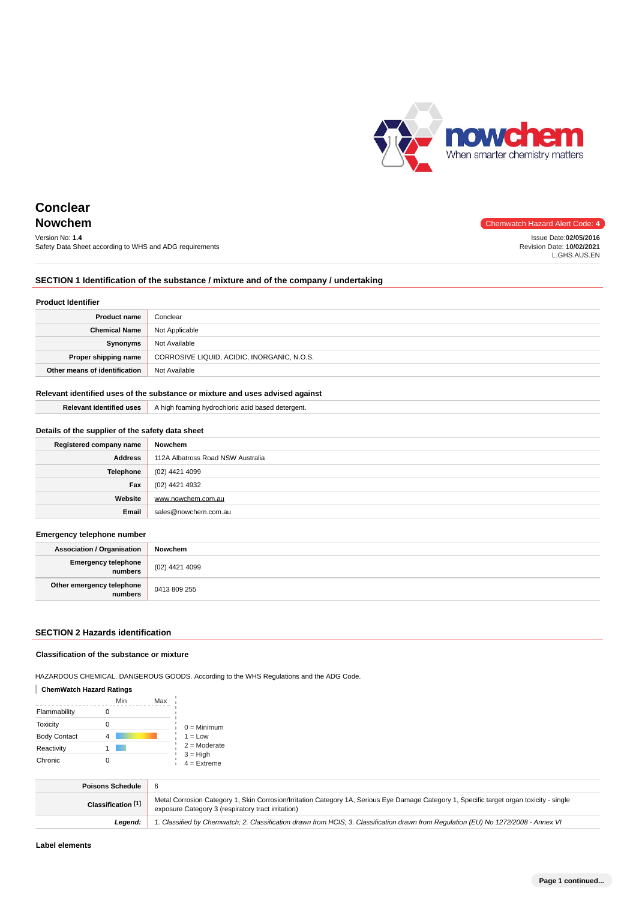

Issue Date:**02/05/2016** Revision Date: **10/02/2021** L.GHS.AUS.EN

# **Conclear Nowchem** Chemwatch Hazard Alert Code: 4

# Version No: **1.4**

Safety Data Sheet according to WHS and ADG requirements

# **SECTION 1 Identification of the substance / mixture and of the company / undertaking**

#### **Product Identifier**

| <b>Product name</b>           | Conclear                                    |
|-------------------------------|---------------------------------------------|
| <b>Chemical Name</b>          | Not Applicable                              |
| Synonyms                      | Not Available                               |
| Proper shipping name          | CORROSIVE LIQUID, ACIDIC, INORGANIC, N.O.S. |
| Other means of identification | Not Available                               |

## **Relevant identified uses of the substance or mixture and uses advised against**

**Relevant identified uses** A high foaming hydrochloric acid based detergent.

| Details of the supplier of the safety data sheet |                                   |  |
|--------------------------------------------------|-----------------------------------|--|
| Registered company name                          | Nowchem                           |  |
| <b>Address</b>                                   | 112A Albatross Road NSW Australia |  |
| Telephone                                        | (02) 4421 4099                    |  |
| Fax                                              | (02) 4421 4932                    |  |
| Website                                          | www.nowchem.com.au                |  |
| Email                                            | sales@nowchem.com.au              |  |

#### **Emergency telephone number**

| <b>Association / Organisation</b>              | Nowchem        |
|------------------------------------------------|----------------|
| <b>Emergency telephone</b><br><b> </b> numbers | (02) 4421 4099 |
| Other emergency telephone<br>numbers           | 0413 809 255   |

### **SECTION 2 Hazards identification**

#### **Classification of the substance or mixture**

HAZARDOUS CHEMICAL. DANGEROUS GOODS. According to the WHS Regulations and the ADG Code.

#### **ChemWatch Hazard Ratings**

|                     | Min | Max |                             |
|---------------------|-----|-----|-----------------------------|
| Flammability        |     |     |                             |
| <b>Toxicity</b>     |     |     | $0 =$ Minimum               |
| <b>Body Contact</b> |     |     | $1 = Low$                   |
| Reactivity          |     |     | $2 =$ Moderate              |
| Chronic             |     |     | $3 = High$<br>$4 =$ Extreme |

| <b>Poisons Schedule</b>       |                                                                                                                                                                                                 |
|-------------------------------|-------------------------------------------------------------------------------------------------------------------------------------------------------------------------------------------------|
| Classification <sup>[1]</sup> | Metal Corrosion Category 1, Skin Corrosion/Irritation Category 1A, Serious Eye Damage Category 1, Specific target organ toxicity - single<br>exposure Category 3 (respiratory tract irritation) |
| Leaend:                       | 1. Classified by Chemwatch; 2. Classification drawn from HCIS; 3. Classification drawn from Regulation (EU) No 1272/2008 - Annex VI                                                             |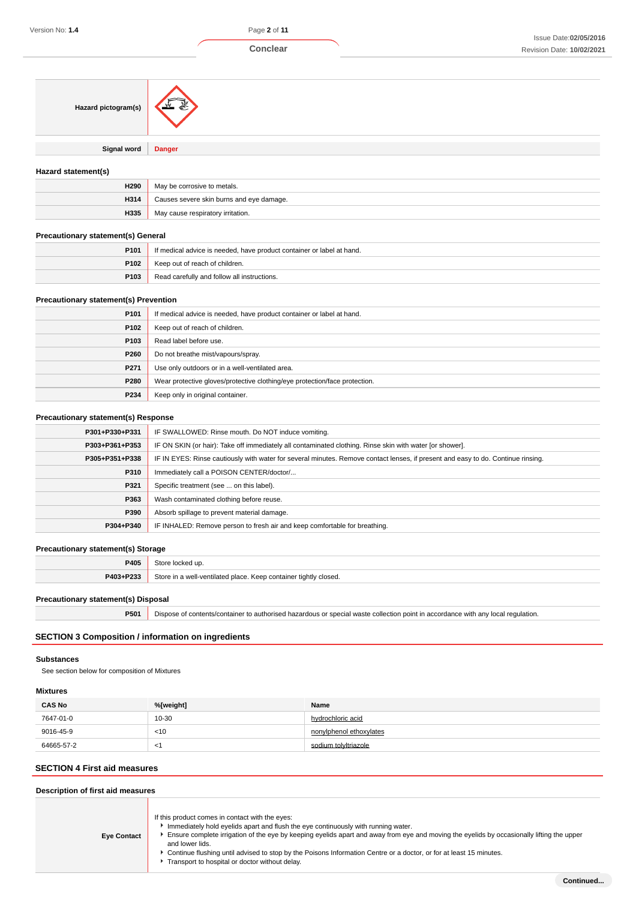

| Hazard pictogram(s)                          |                                                                                                                                        |
|----------------------------------------------|----------------------------------------------------------------------------------------------------------------------------------------|
| <b>Signal word</b>                           | <b>Danger</b>                                                                                                                          |
| Hazard statement(s)                          |                                                                                                                                        |
| H290                                         | May be corrosive to metals.                                                                                                            |
| H314                                         | Causes severe skin burns and eye damage.                                                                                               |
| H335                                         | May cause respiratory irritation.                                                                                                      |
| <b>Precautionary statement(s) General</b>    |                                                                                                                                        |
| P <sub>101</sub>                             | If medical advice is needed, have product container or label at hand.                                                                  |
| P102                                         | Keep out of reach of children.                                                                                                         |
| P103                                         | Read carefully and follow all instructions.                                                                                            |
| <b>Precautionary statement(s) Prevention</b> |                                                                                                                                        |
| P <sub>101</sub>                             | If medical advice is needed, have product container or label at hand.                                                                  |
| P102                                         | Keep out of reach of children.                                                                                                         |
| P103                                         | Read label before use.                                                                                                                 |
| P260                                         | Do not breathe mist/vapours/spray.                                                                                                     |
| P271                                         | Use only outdoors or in a well-ventilated area.                                                                                        |
| P280                                         | Wear protective gloves/protective clothing/eye protection/face protection.                                                             |
| P234                                         | Keep only in original container.                                                                                                       |
| <b>Precautionary statement(s) Response</b>   |                                                                                                                                        |
| P301+P330+P331                               | IF SWALLOWED: Rinse mouth. Do NOT induce vomiting.                                                                                     |
| P303+P361+P353                               | IF ON SKIN (or hair): Take off immediately all contaminated clothing. Rinse skin with water [or shower].                               |
| P305+P351+P338                               | IF IN EYES: Rinse cautiously with water for several minutes. Remove contact lenses, if present and easy to do. Continue rinsing.       |
|                                              | $\mathbf{u}$ points $\mathbf{v}$ and $\mathbf{v}$ and $\mathbf{v}$ and $\mathbf{v}$ and $\mathbf{v}$ are $\mathbf{v}$ and $\mathbf{v}$ |

| P305+P351+P338 | TH IN EYES: Rinse cautiously with water for several minutes. Remove contact lenses, if present and easy to do. Continue rinsing. |
|----------------|----------------------------------------------------------------------------------------------------------------------------------|
| P310           | Immediately call a POISON CENTER/doctor/                                                                                         |
| P321           | Specific treatment (see  on this label).                                                                                         |
| P363           | Wash contaminated clothing before reuse.                                                                                         |
| P390           | Absorb spillage to prevent material damage.                                                                                      |
| P304+P340      | IF INHALED: Remove person to fresh air and keep comfortable for breathing.                                                       |
|                |                                                                                                                                  |

# **Precautionary statement(s) Storage**

| P405      | $:$ to re                                                        |
|-----------|------------------------------------------------------------------|
| P403+P233 | Store in a well-ventilated place. Keep container tightly closed. |

# **Precautionary statement(s) Disposal**

**P501** Dispose of contents/container to authorised hazardous or special waste collection point in accordance with any local regulation.

# **SECTION 3 Composition / information on ingredients**

# **Substances**

See section below for composition of Mixtures

# **Mixtures**

| <b>CAS No</b> | %[weight] | Name                    |
|---------------|-----------|-------------------------|
| 7647-01-0     | 10-30     | hydrochloric acid       |
| 9016-45-9     | $<$ 10    | nonylphenol ethoxylates |
| 64665-57-2    | $\lt'$    | sodium tolvltriazole    |
|               |           |                         |

# **SECTION 4 First aid measures**

# **Description of first aid measures**

| <b>Eye Contact</b> | If this product comes in contact with the eyes:<br>Immediately hold eyelids apart and flush the eye continuously with running water.<br>Ensure complete irrigation of the eye by keeping eyelids apart and away from eye and moving the eyelids by occasionally lifting the upper<br>and lower lids.<br>Continue flushing until advised to stop by the Poisons Information Centre or a doctor, or for at least 15 minutes.<br>Transport to hospital or doctor without delay. |
|--------------------|------------------------------------------------------------------------------------------------------------------------------------------------------------------------------------------------------------------------------------------------------------------------------------------------------------------------------------------------------------------------------------------------------------------------------------------------------------------------------|
|--------------------|------------------------------------------------------------------------------------------------------------------------------------------------------------------------------------------------------------------------------------------------------------------------------------------------------------------------------------------------------------------------------------------------------------------------------------------------------------------------------|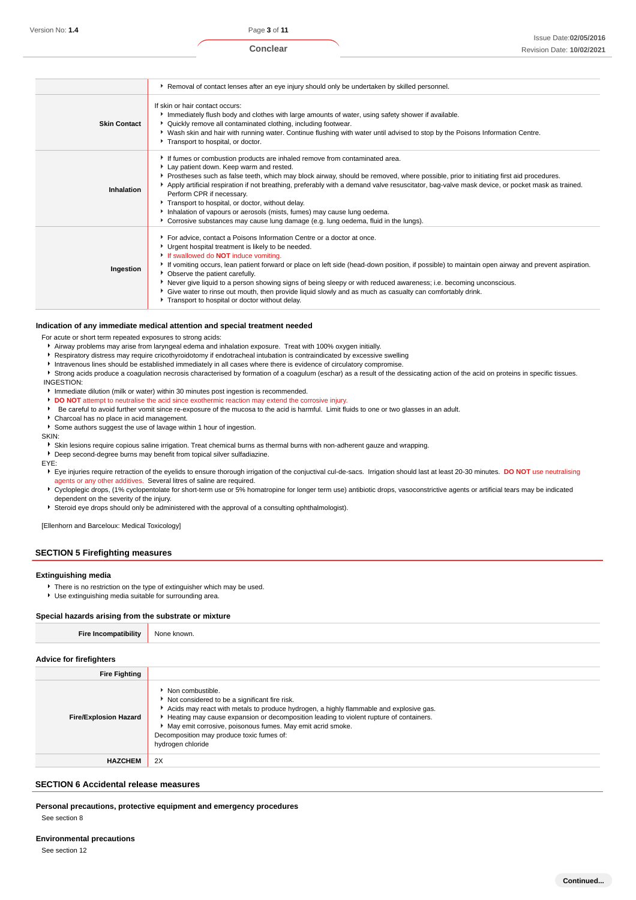**Conclear**

|                     | ▶ Removal of contact lenses after an eye injury should only be undertaken by skilled personnel.                                                                                                                                                                                                                                                                                                                                                                                                                                                                                                                                                                      |
|---------------------|----------------------------------------------------------------------------------------------------------------------------------------------------------------------------------------------------------------------------------------------------------------------------------------------------------------------------------------------------------------------------------------------------------------------------------------------------------------------------------------------------------------------------------------------------------------------------------------------------------------------------------------------------------------------|
| <b>Skin Contact</b> | If skin or hair contact occurs:<br>Immediately flush body and clothes with large amounts of water, using safety shower if available.<br>▶ Quickly remove all contaminated clothing, including footwear.<br>▶ Wash skin and hair with running water. Continue flushing with water until advised to stop by the Poisons Information Centre.<br>Transport to hospital, or doctor.                                                                                                                                                                                                                                                                                       |
| Inhalation          | If fumes or combustion products are inhaled remove from contaminated area.<br>Lay patient down. Keep warm and rested.<br>▶ Prostheses such as false teeth, which may block airway, should be removed, where possible, prior to initiating first aid procedures.<br>Apply artificial respiration if not breathing, preferably with a demand valve resuscitator, bag-valve mask device, or pocket mask as trained.<br>Perform CPR if necessary.<br>Transport to hospital, or doctor, without delay.<br>Inhalation of vapours or aerosols (mists, fumes) may cause lung oedema.<br>▶ Corrosive substances may cause lung damage (e.g. lung oedema, fluid in the lungs). |
| Ingestion           | For advice, contact a Poisons Information Centre or a doctor at once.<br>Urgent hospital treatment is likely to be needed.<br>If swallowed do <b>NOT</b> induce vomiting.<br>If vomiting occurs, lean patient forward or place on left side (head-down position, if possible) to maintain open airway and prevent aspiration.<br>• Observe the patient carefully.<br>▶ Never give liquid to a person showing signs of being sleepy or with reduced awareness; i.e. becoming unconscious.<br>Give water to rinse out mouth, then provide liquid slowly and as much as casualty can comfortably drink.<br>Transport to hospital or doctor without delay.               |

#### **Indication of any immediate medical attention and special treatment needed**

For acute or short term repeated exposures to strong acids:

- Airway problems may arise from laryngeal edema and inhalation exposure. Treat with 100% oxygen initially.
- Respiratory distress may require cricothyroidotomy if endotracheal intubation is contraindicated by excessive swelling
- Intravenous lines should be established immediately in all cases where there is evidence of circulatory compromise.

Strong acids produce a coagulation necrosis characterised by formation of a coagulum (eschar) as a result of the dessicating action of the acid on proteins in specific tissues.

- INGESTION: Immediate dilution (milk or water) within 30 minutes post ingestion is recommended.
- **DO NOT** attempt to neutralise the acid since exothermic reaction may extend the corrosive injury.
- Be careful to avoid further vomit since re-exposure of the mucosa to the acid is harmful. Limit fluids to one or two glasses in an adult.
- Charcoal has no place in acid management.
- Some authors suggest the use of lavage within 1 hour of ingestion.

SKIN:

Skin lesions require copious saline irrigation. Treat chemical burns as thermal burns with non-adherent gauze and wrapping.

Deep second-degree burns may benefit from topical silver sulfadiazine.

EYE:

- Eye injuries require retraction of the eyelids to ensure thorough irrigation of the conjuctival cul-de-sacs. Irrigation should last at least 20-30 minutes. **DO NOT** use neutralising agents or any other additives. Several litres of saline are required.
- Cycloplegic drops, (1% cyclopentolate for short-term use or 5% homatropine for longer term use) antibiotic drops, vasoconstrictive agents or artificial tears may be indicated dependent on the severity of the injury.

Steroid eye drops should only be administered with the approval of a consulting ophthalmologist).

[Ellenhorn and Barceloux: Medical Toxicology]

# **SECTION 5 Firefighting measures**

#### **Extinguishing media**

- There is no restriction on the type of extinguisher which may be used.
- Use extinguishing media suitable for surrounding area.

#### **Special hazards arising from the substrate or mixture**

#### **Advice for firefighters**

| <b>Fire Fighting</b>         |                                                                                                                                                                                                                                                                                                                                                                                         |
|------------------------------|-----------------------------------------------------------------------------------------------------------------------------------------------------------------------------------------------------------------------------------------------------------------------------------------------------------------------------------------------------------------------------------------|
| <b>Fire/Explosion Hazard</b> | • Non combustible.<br>Not considered to be a significant fire risk.<br>Acids may react with metals to produce hydrogen, a highly flammable and explosive gas.<br>Heating may cause expansion or decomposition leading to violent rupture of containers.<br>May emit corrosive, poisonous fumes. May emit acrid smoke.<br>Decomposition may produce toxic fumes of:<br>hydrogen chloride |
| <b>HAZCHEM</b>               | 2X                                                                                                                                                                                                                                                                                                                                                                                      |

## **SECTION 6 Accidental release measures**

**Personal precautions, protective equipment and emergency procedures**

See section 8

#### **Environmental precautions**

See section 12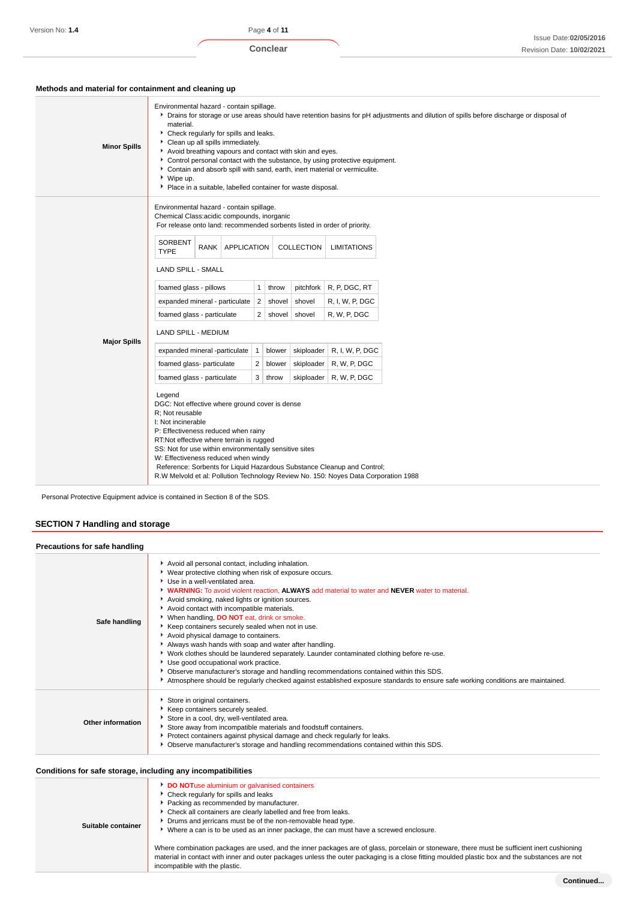# **Methods and material for containment and cleaning up**

| Environmental hazard - contain spillage.<br>Chemical Class:acidic compounds, inorganic<br>For release onto land: recommended sorbents listed in order of priority.<br><b>SORBENT</b><br>RANK   APPLICATION<br>COLLECTION<br><b>LIMITATIONS</b><br><b>TYPE</b><br><b>LAND SPILL - SMALL</b><br>foamed glass - pillows<br>$\mathbf{1}$<br>pitchfork   R, P, DGC, RT<br>throw<br>R, I, W, P, DGC<br>expanded mineral - particulate   2  <br>shovel<br>shovel<br>R, W, P, DGC<br>foamed glass - particulate<br>$\overline{2}$<br>shovel shovel<br>LAND SPILL - MEDIUM<br><b>Major Spills</b><br>expanded mineral -particulate<br>skiploader<br>R, I, W, P, DGC<br>$\vert$ 1<br>blower<br>skiploader<br>R, W, P, DGC<br>foamed glass- particulate<br>2<br>blower | <b>Minor Spills</b> | Environmental hazard - contain spillage.<br>▶ Drains for storage or use areas should have retention basins for pH adjustments and dilution of spills before discharge or disposal of<br>material.<br>Check regularly for spills and leaks.<br>Clean up all spills immediately.<br>Avoid breathing vapours and contact with skin and eyes.<br>Control personal contact with the substance, by using protective equipment.<br>• Contain and absorb spill with sand, earth, inert material or vermiculite.<br>▶ Wipe up.<br>Place in a suitable, labelled container for waste disposal. |  |  |  |  |  |
|-------------------------------------------------------------------------------------------------------------------------------------------------------------------------------------------------------------------------------------------------------------------------------------------------------------------------------------------------------------------------------------------------------------------------------------------------------------------------------------------------------------------------------------------------------------------------------------------------------------------------------------------------------------------------------------------------------------------------------------------------------------|---------------------|--------------------------------------------------------------------------------------------------------------------------------------------------------------------------------------------------------------------------------------------------------------------------------------------------------------------------------------------------------------------------------------------------------------------------------------------------------------------------------------------------------------------------------------------------------------------------------------|--|--|--|--|--|
| R, W, P, DGC<br>foamed glass - particulate<br>3<br>skiploader<br>throw<br>Legend<br>DGC: Not effective where ground cover is dense<br>R; Not reusable<br>I: Not incinerable<br>P: Effectiveness reduced when rainy<br>RT:Not effective where terrain is rugged<br>SS: Not for use within environmentally sensitive sites<br>W: Effectiveness reduced when windy<br>Reference: Sorbents for Liquid Hazardous Substance Cleanup and Control;                                                                                                                                                                                                                                                                                                                  |                     |                                                                                                                                                                                                                                                                                                                                                                                                                                                                                                                                                                                      |  |  |  |  |  |

Personal Protective Equipment advice is contained in Section 8 of the SDS.

# **SECTION 7 Handling and storage**

| Precautions for safe handling |                                                                                                                                                                                                                                                                                                                                                                                                                                                                                                                                                                                                                                                                                                                                                                                                                                                                                                                               |
|-------------------------------|-------------------------------------------------------------------------------------------------------------------------------------------------------------------------------------------------------------------------------------------------------------------------------------------------------------------------------------------------------------------------------------------------------------------------------------------------------------------------------------------------------------------------------------------------------------------------------------------------------------------------------------------------------------------------------------------------------------------------------------------------------------------------------------------------------------------------------------------------------------------------------------------------------------------------------|
| Safe handling                 | Avoid all personal contact, including inhalation.<br>▶ Wear protective clothing when risk of exposure occurs.<br>Use in a well-ventilated area.<br>▶ WARNING: To avoid violent reaction, ALWAYS add material to water and NEVER water to material.<br>Avoid smoking, naked lights or ignition sources.<br>Avoid contact with incompatible materials.<br>When handling, DO NOT eat, drink or smoke.<br>Keep containers securely sealed when not in use.<br>Avoid physical damage to containers.<br>Always wash hands with soap and water after handling.<br>▶ Work clothes should be laundered separately. Launder contaminated clothing before re-use.<br>Use good occupational work practice.<br>• Observe manufacturer's storage and handling recommendations contained within this SDS.<br>Atmosphere should be regularly checked against established exposure standards to ensure safe working conditions are maintained. |
| <b>Other information</b>      | Store in original containers.<br>Keep containers securely sealed.<br>Store in a cool, dry, well-ventilated area.<br>Store away from incompatible materials and foodstuff containers.<br>Protect containers against physical damage and check regularly for leaks.<br>▶ Observe manufacturer's storage and handling recommendations contained within this SDS.                                                                                                                                                                                                                                                                                                                                                                                                                                                                                                                                                                 |

# **Conditions for safe storage, including any incompatibilities**

| Suitable container | <b>DO NOT</b> use aluminium or galvanised containers<br>Check regularly for spills and leaks<br>Packing as recommended by manufacturer.<br>▶ Check all containers are clearly labelled and free from leaks.<br>Drums and jerricans must be of the non-removable head type.<br>Where a can is to be used as an inner package, the can must have a screwed enclosure.<br>Where combination packages are used, and the inner packages are of glass, porcelain or stoneware, there must be sufficient inert cushioning<br>material in contact with inner and outer packages unless the outer packaging is a close fitting moulded plastic box and the substances are not<br>incompatible with the plastic. |
|--------------------|--------------------------------------------------------------------------------------------------------------------------------------------------------------------------------------------------------------------------------------------------------------------------------------------------------------------------------------------------------------------------------------------------------------------------------------------------------------------------------------------------------------------------------------------------------------------------------------------------------------------------------------------------------------------------------------------------------|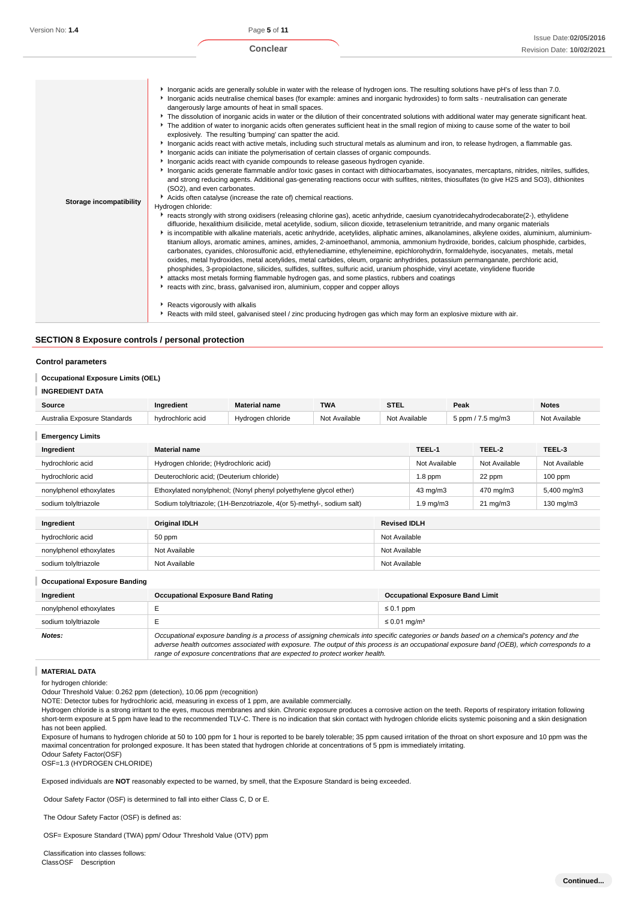**Conclear**

|                                | Interval in action share in which is when the selection in the release of hydrogen ions. The resulting solutions have pH's of less than 7.0.<br>Inorganic acids neutralise chemical bases (for example: amines and inorganic hydroxides) to form salts - neutralisation can generate<br>dangerously large amounts of heat in small spaces.<br>▶ The dissolution of inorganic acids in water or the dilution of their concentrated solutions with additional water may generate significant heat.<br>The addition of water to inorganic acids often generates sufficient heat in the small region of mixing to cause some of the water to boil                                                                                                                                                                                                                                                                                                                                                                                                                                                                                                                          |
|--------------------------------|------------------------------------------------------------------------------------------------------------------------------------------------------------------------------------------------------------------------------------------------------------------------------------------------------------------------------------------------------------------------------------------------------------------------------------------------------------------------------------------------------------------------------------------------------------------------------------------------------------------------------------------------------------------------------------------------------------------------------------------------------------------------------------------------------------------------------------------------------------------------------------------------------------------------------------------------------------------------------------------------------------------------------------------------------------------------------------------------------------------------------------------------------------------------|
|                                | explosively. The resulting 'bumping' can spatter the acid.<br>Inorganic acids react with active metals, including such structural metals as aluminum and iron, to release hydrogen, a flammable gas.<br>Inorganic acids can initiate the polymerisation of certain classes of organic compounds.                                                                                                                                                                                                                                                                                                                                                                                                                                                                                                                                                                                                                                                                                                                                                                                                                                                                       |
|                                | In organic acids react with cyanide compounds to release gaseous hydrogen cyanide.                                                                                                                                                                                                                                                                                                                                                                                                                                                                                                                                                                                                                                                                                                                                                                                                                                                                                                                                                                                                                                                                                     |
|                                | Inorganic acids generate flammable and/or toxic gases in contact with dithiocarbamates, isocyanates, mercaptans, nitrides, nitriles, sulfides,<br>and strong reducing agents. Additional gas-generating reactions occur with sulfites, nitrites, thiosulfates (to give H2S and SO3), dithionites<br>(SO2), and even carbonates.                                                                                                                                                                                                                                                                                                                                                                                                                                                                                                                                                                                                                                                                                                                                                                                                                                        |
| <b>Storage incompatibility</b> | Acids often catalyse (increase the rate of) chemical reactions.                                                                                                                                                                                                                                                                                                                                                                                                                                                                                                                                                                                                                                                                                                                                                                                                                                                                                                                                                                                                                                                                                                        |
|                                | Hydrogen chloride:                                                                                                                                                                                                                                                                                                                                                                                                                                                                                                                                                                                                                                                                                                                                                                                                                                                                                                                                                                                                                                                                                                                                                     |
|                                | reacts strongly with strong oxidisers (releasing chlorine gas), acetic anhydride, caesium cyanotridecahydrodecaborate(2-), ethylidene<br>difluoride, hexalithium disilicide, metal acetylide, sodium, silicon dioxide, tetraselenium tetranitride, and many organic materials<br>is incompatible with alkaline materials, acetic anhydride, acetylides, aliphatic amines, alkanolamines, alkylene oxides, aluminium, aluminium-<br>titanium alloys, aromatic amines, amines, amides, 2-aminoethanol, ammonia, ammonium hydroxide, borides, calcium phosphide, carbides,<br>carbonates, cyanides, chlorosulfonic acid, ethylenediamine, ethyleneimine, epichlorohydrin, formaldehyde, isocyanates, metals, metal<br>oxides, metal hydroxides, metal acetylides, metal carbides, oleum, organic anhydrides, potassium permanganate, perchloric acid,<br>phosphides, 3-propiolactone, silicides, sulfides, sulfites, sulfuric acid, uranium phosphide, vinyl acetate, vinylidene fluoride<br>attacks most metals forming flammable hydrogen gas, and some plastics, rubbers and coatings<br>reacts with zinc, brass, galvanised iron, aluminium, copper and copper alloys |
|                                | Reacts vigorously with alkalis                                                                                                                                                                                                                                                                                                                                                                                                                                                                                                                                                                                                                                                                                                                                                                                                                                                                                                                                                                                                                                                                                                                                         |
|                                | Reacts with mild steel, galvanised steel / zinc producing hydrogen gas which may form an explosive mixture with air.                                                                                                                                                                                                                                                                                                                                                                                                                                                                                                                                                                                                                                                                                                                                                                                                                                                                                                                                                                                                                                                   |
|                                |                                                                                                                                                                                                                                                                                                                                                                                                                                                                                                                                                                                                                                                                                                                                                                                                                                                                                                                                                                                                                                                                                                                                                                        |

## **SECTION 8 Exposure controls / personal protection**

#### **Control parameters**

#### I **Occupational Exposure Limits (OEL)**

#### I **INGREDIENT DATA**

| Source                               | <b>TWA</b><br>Ingredient<br><b>Material name</b> |                                                                        |  | <b>STEL</b>                             | Peak               |                       |                   | <b>Notes</b>  |  |
|--------------------------------------|--------------------------------------------------|------------------------------------------------------------------------|--|-----------------------------------------|--------------------|-----------------------|-------------------|---------------|--|
| Australia Exposure Standards         | hydrochloric acid                                | Not Available                                                          |  | 5 ppm / 7.5 mg/m3                       |                    | Not Available         |                   |               |  |
| <b>Emergency Limits</b>              |                                                  |                                                                        |  |                                         |                    |                       |                   |               |  |
| Ingredient                           | <b>Material name</b>                             |                                                                        |  |                                         | TEEL-1             |                       | TEEL-2            | TEEL-3        |  |
| hydrochloric acid                    | Hydrogen chloride; (Hydrochloric acid)           |                                                                        |  |                                         | Not Available      |                       | Not Available     | Not Available |  |
| hydrochloric acid                    | Deuterochloric acid; (Deuterium chloride)        |                                                                        |  |                                         | $1.8$ ppm          |                       | 22 ppm            | $100$ ppm     |  |
| nonylphenol ethoxylates              |                                                  | Ethoxylated nonylphenol; (Nonyl phenyl polyethylene glycol ether)      |  |                                         |                    | 43 mg/m3<br>470 mg/m3 |                   | 5,400 mg/m3   |  |
| sodium tolyltriazole                 |                                                  | Sodium tolyltriazole; (1H-Benzotriazole, 4(or 5)-methyl-, sodium salt) |  |                                         | $1.9 \text{ mg/m}$ |                       | $21 \text{ mg/m}$ | 130 mg/m3     |  |
| Ingredient                           | <b>Original IDLH</b>                             |                                                                        |  | <b>Revised IDLH</b>                     |                    |                       |                   |               |  |
| hydrochloric acid                    | 50 ppm                                           |                                                                        |  |                                         | Not Available      |                       |                   |               |  |
| nonylphenol ethoxylates              | Not Available                                    |                                                                        |  |                                         |                    | Not Available         |                   |               |  |
| sodium tolyltriazole                 | Not Available                                    |                                                                        |  |                                         | Not Available      |                       |                   |               |  |
| <b>Occupational Exposure Banding</b> |                                                  |                                                                        |  |                                         |                    |                       |                   |               |  |
| Ingredient                           | <b>Occupational Exposure Band Rating</b>         |                                                                        |  | <b>Occupational Exposure Band Limit</b> |                    |                       |                   |               |  |
| .                                    |                                                  |                                                                        |  | $\sim$ $\sim$ $\sim$                    |                    |                       |                   |               |  |

| -------------           |                                                                                                                                                                                                                                                                                          |                               |  |  |
|-------------------------|------------------------------------------------------------------------------------------------------------------------------------------------------------------------------------------------------------------------------------------------------------------------------------------|-------------------------------|--|--|
| nonylphenol ethoxylates |                                                                                                                                                                                                                                                                                          | $\leq 0.1$ ppm                |  |  |
| sodium tolvltriazole    |                                                                                                                                                                                                                                                                                          | $\leq$ 0.01 mg/m <sup>3</sup> |  |  |
| Notes:                  | Occupational exposure banding is a process of assigning chemicals into specific categories or bands based on a chemical's potency and the<br>adverse health outcomes associated with exposure. The output of this process is an occupational exposure band (OEB), which corresponds to a |                               |  |  |

range of exposure concentrations that are expected to protect worker health.

#### **MATERIAL DATA**

I

for hydrogen chloride:

Odour Threshold Value: 0.262 ppm (detection), 10.06 ppm (recognition)

NOTE: Detector tubes for hydrochloric acid, measuring in excess of 1 ppm, are available commercially.

Hydrogen chloride is a strong irritant to the eyes, mucous membranes and skin. Chronic exposure produces a corrosive action on the teeth. Reports of respiratory irritation following short-term exposure at 5 ppm have lead to the recommended TLV-C. There is no indication that skin contact with hydrogen chloride elicits systemic poisoning and a skin designation has not been applied.

Exposure of humans to hydrogen chloride at 50 to 100 ppm for 1 hour is reported to be barely tolerable; 35 ppm caused irritation of the throat on short exposure and 10 ppm was the maximal concentration for prolonged exposure. It has been stated that hydrogen chloride at concentrations of 5 ppm is immediately irritating. Odour Safety Factor(OSF)

OSF=1.3 (HYDROGEN CHLORIDE)

Exposed individuals are **NOT** reasonably expected to be warned, by smell, that the Exposure Standard is being exceeded.

Odour Safety Factor (OSF) is determined to fall into either Class C, D or E.

The Odour Safety Factor (OSF) is defined as:

OSF= Exposure Standard (TWA) ppm/ Odour Threshold Value (OTV) ppm

 Classification into classes follows: ClassOSF Description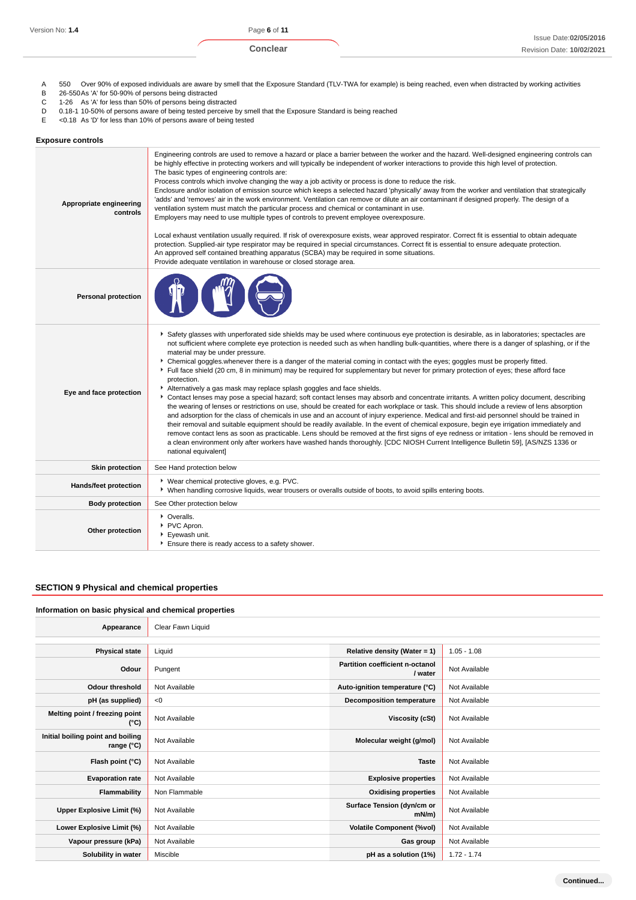- A 550 Over 90% of exposed individuals are aware by smell that the Exposure Standard (TLV-TWA for example) is being reached, even when distracted by working activities<br>B 26-550 As 'A' for 50-90% of persons being distracted
- B 26-550As 'A' for 50-90% of persons being distracted<br>C 1-26 As 'A' for less than 50% of persons being dist
- C 1-26 As 'A' for less than 50% of persons being distracted
- D 0.18-1 10-50% of persons aware of being tested perceive by smell that the Exposure Standard is being reached<br>E <0.18 As 'D' for less than 10% of persons aware of being tested
- E <0.18 As 'D' for less than 10% of persons aware of being tested

| <b>Exposure controls</b>            |                                                                                                                                                                                                                                                                                                                                                                                                                                                                                                                                                                                                                                                                                                                                                                                                                                                                                                                                                                                                                                                                                                                                                                                                                                                                                                                                                                                                                                                                                                                                                                                                            |
|-------------------------------------|------------------------------------------------------------------------------------------------------------------------------------------------------------------------------------------------------------------------------------------------------------------------------------------------------------------------------------------------------------------------------------------------------------------------------------------------------------------------------------------------------------------------------------------------------------------------------------------------------------------------------------------------------------------------------------------------------------------------------------------------------------------------------------------------------------------------------------------------------------------------------------------------------------------------------------------------------------------------------------------------------------------------------------------------------------------------------------------------------------------------------------------------------------------------------------------------------------------------------------------------------------------------------------------------------------------------------------------------------------------------------------------------------------------------------------------------------------------------------------------------------------------------------------------------------------------------------------------------------------|
| Appropriate engineering<br>controls | Engineering controls are used to remove a hazard or place a barrier between the worker and the hazard. Well-designed engineering controls can<br>be highly effective in protecting workers and will typically be independent of worker interactions to provide this high level of protection.<br>The basic types of engineering controls are:<br>Process controls which involve changing the way a job activity or process is done to reduce the risk.<br>Enclosure and/or isolation of emission source which keeps a selected hazard 'physically' away from the worker and ventilation that strategically<br>'adds' and 'removes' air in the work environment. Ventilation can remove or dilute an air contaminant if designed properly. The design of a<br>ventilation system must match the particular process and chemical or contaminant in use.<br>Employers may need to use multiple types of controls to prevent employee overexposure.<br>Local exhaust ventilation usually required. If risk of overexposure exists, wear approved respirator. Correct fit is essential to obtain adequate<br>protection. Supplied-air type respirator may be required in special circumstances. Correct fit is essential to ensure adequate protection.<br>An approved self contained breathing apparatus (SCBA) may be required in some situations.<br>Provide adequate ventilation in warehouse or closed storage area.                                                                                                                                                                                       |
| <b>Personal protection</b>          |                                                                                                                                                                                                                                                                                                                                                                                                                                                                                                                                                                                                                                                                                                                                                                                                                                                                                                                                                                                                                                                                                                                                                                                                                                                                                                                                                                                                                                                                                                                                                                                                            |
| Eye and face protection             | ▶ Safety glasses with unperforated side shields may be used where continuous eye protection is desirable, as in laboratories; spectacles are<br>not sufficient where complete eye protection is needed such as when handling bulk-quantities, where there is a danger of splashing, or if the<br>material may be under pressure.<br>▶ Chemical goggles whenever there is a danger of the material coming in contact with the eyes; goggles must be properly fitted.<br>Full face shield (20 cm, 8 in minimum) may be required for supplementary but never for primary protection of eyes; these afford face<br>protection.<br>Alternatively a gas mask may replace splash goggles and face shields.<br>Contact lenses may pose a special hazard; soft contact lenses may absorb and concentrate irritants. A written policy document, describing<br>the wearing of lenses or restrictions on use, should be created for each workplace or task. This should include a review of lens absorption<br>and adsorption for the class of chemicals in use and an account of injury experience. Medical and first-aid personnel should be trained in<br>their removal and suitable equipment should be readily available. In the event of chemical exposure, begin eye irrigation immediately and<br>remove contact lens as soon as practicable. Lens should be removed at the first signs of eye redness or irritation - lens should be removed in<br>a clean environment only after workers have washed hands thoroughly. [CDC NIOSH Current Intelligence Bulletin 59], [AS/NZS 1336 or<br>national equivalent] |
| <b>Skin protection</b>              | See Hand protection below                                                                                                                                                                                                                                                                                                                                                                                                                                                                                                                                                                                                                                                                                                                                                                                                                                                                                                                                                                                                                                                                                                                                                                                                                                                                                                                                                                                                                                                                                                                                                                                  |
| Hands/feet protection               | ▶ Wear chemical protective gloves, e.g. PVC.<br>▶ When handling corrosive liquids, wear trousers or overalls outside of boots, to avoid spills entering boots.                                                                                                                                                                                                                                                                                                                                                                                                                                                                                                                                                                                                                                                                                                                                                                                                                                                                                                                                                                                                                                                                                                                                                                                                                                                                                                                                                                                                                                             |
| <b>Body protection</b>              | See Other protection below                                                                                                                                                                                                                                                                                                                                                                                                                                                                                                                                                                                                                                                                                                                                                                                                                                                                                                                                                                                                                                                                                                                                                                                                                                                                                                                                                                                                                                                                                                                                                                                 |
| Other protection                    | • Overalls.<br>PVC Apron.<br>Eyewash unit.<br>Ensure there is ready access to a safety shower.                                                                                                                                                                                                                                                                                                                                                                                                                                                                                                                                                                                                                                                                                                                                                                                                                                                                                                                                                                                                                                                                                                                                                                                                                                                                                                                                                                                                                                                                                                             |

# **SECTION 9 Physical and chemical properties**

#### **Information on basic physical and chemical properties**

| Appearance                                      | Clear Fawn Liquid |                                            |               |
|-------------------------------------------------|-------------------|--------------------------------------------|---------------|
|                                                 |                   |                                            |               |
| <b>Physical state</b>                           | Liquid            | Relative density (Water = 1)               | $1.05 - 1.08$ |
| Odour                                           | Pungent           | Partition coefficient n-octanol<br>/ water | Not Available |
| <b>Odour threshold</b>                          | Not Available     | Auto-ignition temperature (°C)             | Not Available |
| pH (as supplied)                                | < 0               | <b>Decomposition temperature</b>           | Not Available |
| Melting point / freezing point<br>(°C)          | Not Available     | <b>Viscosity (cSt)</b>                     | Not Available |
| Initial boiling point and boiling<br>range (°C) | Not Available     | Molecular weight (g/mol)                   | Not Available |
| Flash point (°C)                                | Not Available     | <b>Taste</b>                               | Not Available |
| <b>Evaporation rate</b>                         | Not Available     | <b>Explosive properties</b>                | Not Available |
| Flammability                                    | Non Flammable     | <b>Oxidising properties</b>                | Not Available |
| Upper Explosive Limit (%)                       | Not Available     | Surface Tension (dyn/cm or<br>$mN/m$ )     | Not Available |
| Lower Explosive Limit (%)                       | Not Available     | <b>Volatile Component (%vol)</b>           | Not Available |
| Vapour pressure (kPa)                           | Not Available     | Gas group                                  | Not Available |
| Solubility in water                             | Miscible          | pH as a solution (1%)                      | $1.72 - 1.74$ |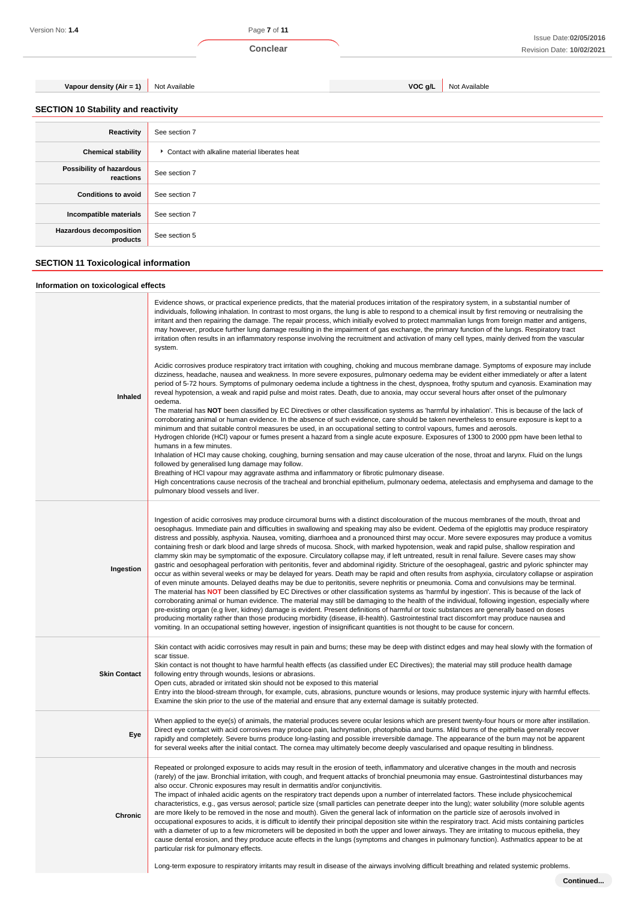Version No: **1.4** Page **7** of **11**

**Vapour density (Air = 1)** Not Available **VOC g/L** Not Available **VOC g/L** Not Available

**SECTION 10 Stability and reactivity**

| Reactivity                                 | See section 7                                 |
|--------------------------------------------|-----------------------------------------------|
| <b>Chemical stability</b>                  | Contact with alkaline material liberates heat |
| Possibility of hazardous<br>reactions      | See section 7                                 |
| <b>Conditions to avoid</b>                 | See section 7                                 |
| Incompatible materials                     | See section 7                                 |
| <b>Hazardous decomposition</b><br>products | See section 5                                 |

# **SECTION 11 Toxicological information**

# **Information on toxicological effects**

| Inhaled             | Evidence shows, or practical experience predicts, that the material produces irritation of the respiratory system, in a substantial number of<br>individuals, following inhalation. In contrast to most organs, the lung is able to respond to a chemical insult by first removing or neutralising the<br>irritant and then repairing the damage. The repair process, which initially evolved to protect mammalian lungs from foreign matter and antigens,<br>may however, produce further lung damage resulting in the impairment of gas exchange, the primary function of the lungs. Respiratory tract<br>irritation often results in an inflammatory response involving the recruitment and activation of many cell types, mainly derived from the vascular<br>system.<br>Acidic corrosives produce respiratory tract irritation with coughing, choking and mucous membrane damage. Symptoms of exposure may include<br>dizziness, headache, nausea and weakness. In more severe exposures, pulmonary oedema may be evident either immediately or after a latent<br>period of 5-72 hours. Symptoms of pulmonary oedema include a tightness in the chest, dyspnoea, frothy sputum and cyanosis. Examination may<br>reveal hypotension, a weak and rapid pulse and moist rates. Death, due to anoxia, may occur several hours after onset of the pulmonary<br>oedema.<br>The material has NOT been classified by EC Directives or other classification systems as 'harmful by inhalation'. This is because of the lack of<br>corroborating animal or human evidence. In the absence of such evidence, care should be taken nevertheless to ensure exposure is kept to a<br>minimum and that suitable control measures be used, in an occupational setting to control vapours, fumes and aerosols.<br>Hydrogen chloride (HCl) vapour or fumes present a hazard from a single acute exposure. Exposures of 1300 to 2000 ppm have been lethal to<br>humans in a few minutes.<br>Inhalation of HCI may cause choking, coughing, burning sensation and may cause ulceration of the nose, throat and larynx. Fluid on the lungs<br>followed by generalised lung damage may follow.<br>Breathing of HCI vapour may aggravate asthma and inflammatory or fibrotic pulmonary disease.<br>High concentrations cause necrosis of the tracheal and bronchial epithelium, pulmonary oedema, atelectasis and emphysema and damage to the<br>pulmonary blood vessels and liver. |
|---------------------|-------------------------------------------------------------------------------------------------------------------------------------------------------------------------------------------------------------------------------------------------------------------------------------------------------------------------------------------------------------------------------------------------------------------------------------------------------------------------------------------------------------------------------------------------------------------------------------------------------------------------------------------------------------------------------------------------------------------------------------------------------------------------------------------------------------------------------------------------------------------------------------------------------------------------------------------------------------------------------------------------------------------------------------------------------------------------------------------------------------------------------------------------------------------------------------------------------------------------------------------------------------------------------------------------------------------------------------------------------------------------------------------------------------------------------------------------------------------------------------------------------------------------------------------------------------------------------------------------------------------------------------------------------------------------------------------------------------------------------------------------------------------------------------------------------------------------------------------------------------------------------------------------------------------------------------------------------------------------------------------------------------------------------------------------------------------------------------------------------------------------------------------------------------------------------------------------------------------------------------------------------------------------------------------------------------------------------------------------------------------------------------------------------------------------------------------------------------------|
| Ingestion           | Ingestion of acidic corrosives may produce circumoral burns with a distinct discolouration of the mucous membranes of the mouth, throat and<br>oesophagus. Immediate pain and difficulties in swallowing and speaking may also be evident. Oedema of the epiglottis may produce respiratory<br>distress and possibly, asphyxia. Nausea, vomiting, diarrhoea and a pronounced thirst may occur. More severe exposures may produce a vomitus<br>containing fresh or dark blood and large shreds of mucosa. Shock, with marked hypotension, weak and rapid pulse, shallow respiration and<br>clammy skin may be symptomatic of the exposure. Circulatory collapse may, if left untreated, result in renal failure. Severe cases may show<br>gastric and oesophageal perforation with peritonitis, fever and abdominal rigidity. Stricture of the oesophageal, gastric and pyloric sphincter may<br>occur as within several weeks or may be delayed for years. Death may be rapid and often results from asphyxia, circulatory collapse or aspiration<br>of even minute amounts. Delayed deaths may be due to peritonitis, severe nephritis or pneumonia. Coma and convulsions may be terminal.<br>The material has NOT been classified by EC Directives or other classification systems as 'harmful by ingestion'. This is because of the lack of<br>corroborating animal or human evidence. The material may still be damaging to the health of the individual, following ingestion, especially where<br>pre-existing organ (e.g liver, kidney) damage is evident. Present definitions of harmful or toxic substances are generally based on doses<br>producing mortality rather than those producing morbidity (disease, ill-health). Gastrointestinal tract discomfort may produce nausea and<br>vomiting. In an occupational setting however, ingestion of insignificant quantities is not thought to be cause for concern.                                                                                                                                                                                                                                                                                                                                                                                                                                                                                                                                      |
| <b>Skin Contact</b> | Skin contact with acidic corrosives may result in pain and burns; these may be deep with distinct edges and may heal slowly with the formation of<br>scar tissue.<br>Skin contact is not thought to have harmful health effects (as classified under EC Directives); the material may still produce health damage<br>following entry through wounds, lesions or abrasions.<br>Open cuts, abraded or irritated skin should not be exposed to this material<br>Entry into the blood-stream through, for example, cuts, abrasions, puncture wounds or lesions, may produce systemic injury with harmful effects.<br>Examine the skin prior to the use of the material and ensure that any external damage is suitably protected.                                                                                                                                                                                                                                                                                                                                                                                                                                                                                                                                                                                                                                                                                                                                                                                                                                                                                                                                                                                                                                                                                                                                                                                                                                                                                                                                                                                                                                                                                                                                                                                                                                                                                                                                     |
| Eye                 | When applied to the eye(s) of animals, the material produces severe ocular lesions which are present twenty-four hours or more after instillation.<br>Direct eye contact with acid corrosives may produce pain, lachrymation, photophobia and burns. Mild burns of the epithelia generally recover<br>rapidly and completely. Severe burns produce long-lasting and possible irreversible damage. The appearance of the burn may not be apparent<br>for several weeks after the initial contact. The cornea may ultimately become deeply vascularised and opaque resulting in blindness.                                                                                                                                                                                                                                                                                                                                                                                                                                                                                                                                                                                                                                                                                                                                                                                                                                                                                                                                                                                                                                                                                                                                                                                                                                                                                                                                                                                                                                                                                                                                                                                                                                                                                                                                                                                                                                                                          |
| Chronic             | Repeated or prolonged exposure to acids may result in the erosion of teeth, inflammatory and ulcerative changes in the mouth and necrosis<br>(rarely) of the jaw. Bronchial irritation, with cough, and frequent attacks of bronchial pneumonia may ensue. Gastrointestinal disturbances may<br>also occur. Chronic exposures may result in dermatitis and/or conjunctivitis.<br>The impact of inhaled acidic agents on the respiratory tract depends upon a number of interrelated factors. These include physicochemical<br>characteristics, e.g., gas versus aerosol; particle size (small particles can penetrate deeper into the lung); water solubility (more soluble agents<br>are more likely to be removed in the nose and mouth). Given the general lack of information on the particle size of aerosols involved in<br>occupational exposures to acids, it is difficult to identify their principal deposition site within the respiratory tract. Acid mists containing particles<br>with a diameter of up to a few micrometers will be deposited in both the upper and lower airways. They are irritating to mucous epithelia, they<br>cause dental erosion, and they produce acute effects in the lungs (symptoms and changes in pulmonary function). Asthmatics appear to be at<br>particular risk for pulmonary effects.<br>Long-term exposure to respiratory irritants may result in disease of the airways involving difficult breathing and related systemic problems.                                                                                                                                                                                                                                                                                                                                                                                                                                                                                                                                                                                                                                                                                                                                                                                                                                                                                                                                                                          |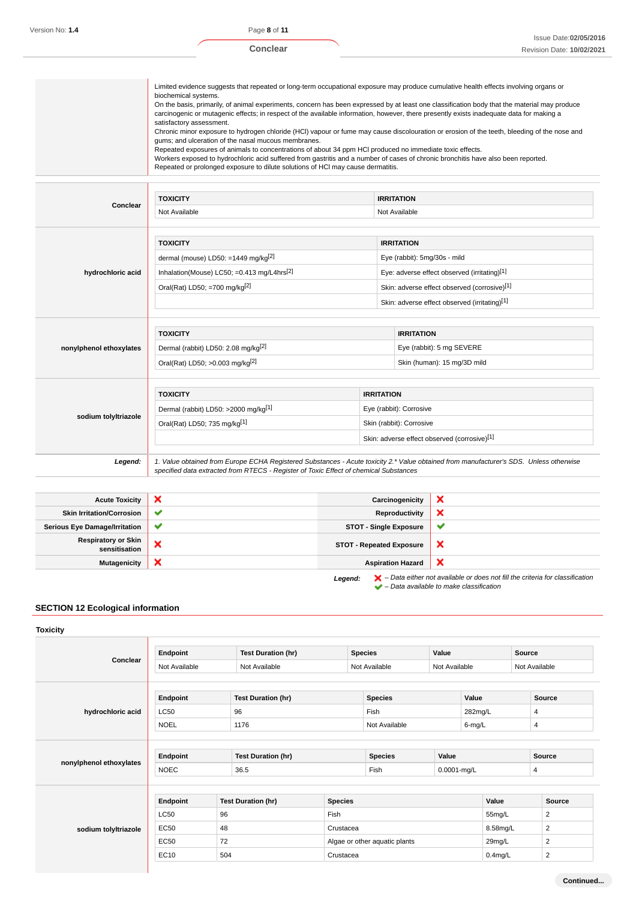**Conclear**

| Limited evidence suggests that repeated or long-term occupational exposure may produce cumulative health effects involving organs or<br>biochemical systems.<br>On the basis, primarily, of animal experiments, concern has been expressed by at least one classification body that the material may produce<br>carcinogenic or mutagenic effects; in respect of the available information, however, there presently exists inadequate data for making a<br>satisfactory assessment.<br>Chronic minor exposure to hydrogen chloride (HCI) vapour or fume may cause discolouration or erosion of the teeth, bleeding of the nose and<br>gums; and ulceration of the nasal mucous membranes.<br>Repeated exposures of animals to concentrations of about 34 ppm HCl produced no immediate toxic effects.<br>Workers exposed to hydrochloric acid suffered from gastritis and a number of cases of chronic bronchitis have also been reported.<br>Repeated or prolonged exposure to dilute solutions of HCI may cause dermatitis. |
|--------------------------------------------------------------------------------------------------------------------------------------------------------------------------------------------------------------------------------------------------------------------------------------------------------------------------------------------------------------------------------------------------------------------------------------------------------------------------------------------------------------------------------------------------------------------------------------------------------------------------------------------------------------------------------------------------------------------------------------------------------------------------------------------------------------------------------------------------------------------------------------------------------------------------------------------------------------------------------------------------------------------------------|
|--------------------------------------------------------------------------------------------------------------------------------------------------------------------------------------------------------------------------------------------------------------------------------------------------------------------------------------------------------------------------------------------------------------------------------------------------------------------------------------------------------------------------------------------------------------------------------------------------------------------------------------------------------------------------------------------------------------------------------------------------------------------------------------------------------------------------------------------------------------------------------------------------------------------------------------------------------------------------------------------------------------------------------|

| Conclear                | <b>TOXICITY</b>                                                                       |                         |                              | <b>IRRITATION</b>                                                                                                                      |  |  |
|-------------------------|---------------------------------------------------------------------------------------|-------------------------|------------------------------|----------------------------------------------------------------------------------------------------------------------------------------|--|--|
| Not Available           |                                                                                       |                         | Not Available                |                                                                                                                                        |  |  |
|                         |                                                                                       |                         |                              |                                                                                                                                        |  |  |
|                         | <b>TOXICITY</b>                                                                       |                         |                              | <b>IRRITATION</b>                                                                                                                      |  |  |
|                         | dermal (mouse) LD50: =1449 mg/kg $^{[2]}$                                             |                         | Eye (rabbit): 5mg/30s - mild |                                                                                                                                        |  |  |
| hydrochloric acid       | Inhalation(Mouse) LC50; = $0.413$ mg/L4hrs <sup>[2]</sup>                             |                         |                              | Eye: adverse effect observed (irritating)[1]                                                                                           |  |  |
|                         | Oral(Rat) LD50; =700 mg/kg $[2]$                                                      |                         |                              | Skin: adverse effect observed (corrosive)[1]                                                                                           |  |  |
|                         |                                                                                       |                         |                              | Skin: adverse effect observed (irritating)[1]                                                                                          |  |  |
|                         |                                                                                       |                         |                              |                                                                                                                                        |  |  |
|                         | <b>TOXICITY</b>                                                                       |                         |                              | <b>IRRITATION</b>                                                                                                                      |  |  |
| nonylphenol ethoxylates | Dermal (rabbit) LD50: 2.08 mg/kg <sup>[2]</sup>                                       |                         |                              | Eye (rabbit): 5 mg SEVERE                                                                                                              |  |  |
|                         | Oral(Rat) LD50; >0.003 mg/kg[2]                                                       |                         | Skin (human): 15 mg/3D mild  |                                                                                                                                        |  |  |
|                         |                                                                                       |                         |                              |                                                                                                                                        |  |  |
|                         | <b>TOXICITY</b>                                                                       | <b>IRRITATION</b>       |                              |                                                                                                                                        |  |  |
|                         | Dermal (rabbit) LD50: >2000 mg/kg[1]                                                  | Eye (rabbit): Corrosive |                              |                                                                                                                                        |  |  |
| sodium tolyltriazole    | Oral(Rat) LD50; 735 mg/kg[1]                                                          |                         | Skin (rabbit): Corrosive     |                                                                                                                                        |  |  |
|                         |                                                                                       |                         |                              | Skin: adverse effect observed (corrosive)[1]                                                                                           |  |  |
|                         |                                                                                       |                         |                              |                                                                                                                                        |  |  |
| Legend:                 | specified data extracted from RTECS - Register of Toxic Effect of chemical Substances |                         |                              | 1. Value obtained from Europe ECHA Registered Substances - Acute toxicity 2.* Value obtained from manufacturer's SDS. Unless otherwise |  |  |

| <b>Acute Toxicity</b>                       | ×            | Carcinogenicity                 | ×                                                                                                                                                                   |
|---------------------------------------------|--------------|---------------------------------|---------------------------------------------------------------------------------------------------------------------------------------------------------------------|
| <b>Skin Irritation/Corrosion</b>            | $\checkmark$ | Reproductivity                  | ×                                                                                                                                                                   |
| <b>Serious Eye Damage/Irritation</b>        | $\checkmark$ | <b>STOT - Single Exposure</b>   | v                                                                                                                                                                   |
| <b>Respiratory or Skin</b><br>sensitisation | ×            | <b>STOT - Repeated Exposure</b> | ×                                                                                                                                                                   |
| <b>Mutagenicity</b>                         | ×            | <b>Aspiration Hazard</b>        | ×                                                                                                                                                                   |
|                                             |              | Legend:                         | $\blacktriangleright$ - Data either not available or does not fill the criteria for classification<br>$\blacktriangleright$ - Data available to make classification |

# **SECTION 12 Ecological information**

| <b>Toxicity</b>         |               |     |                           |                |                               |                 |         |               |                |
|-------------------------|---------------|-----|---------------------------|----------------|-------------------------------|-----------------|---------|---------------|----------------|
|                         | Endpoint      |     | <b>Test Duration (hr)</b> |                | <b>Species</b>                | Value           |         | <b>Source</b> |                |
| Conclear                | Not Available |     | Not Available             |                | Not Available                 | Not Available   |         |               | Not Available  |
|                         | Endpoint      |     | <b>Test Duration (hr)</b> |                | <b>Species</b>                |                 | Value   |               | <b>Source</b>  |
| hydrochloric acid       | <b>LC50</b>   |     | 96                        |                | Fish                          |                 | 282mg/L |               | 4              |
|                         | <b>NOEL</b>   |     | 1176                      |                | Not Available                 |                 | 6-mg/L  |               | 4              |
|                         | Endpoint      |     | <b>Test Duration (hr)</b> |                | <b>Species</b>                | Value           |         |               | Source         |
| nonylphenol ethoxylates | <b>NOEC</b>   |     | 36.5                      |                | Fish                          | $0.0001 - mg/L$ |         |               | 4              |
|                         | Endpoint      |     | <b>Test Duration (hr)</b> | <b>Species</b> |                               |                 |         | Value         | Source         |
|                         | <b>LC50</b>   | 96  |                           | Fish           |                               |                 |         | 55mg/L        | 2              |
| sodium tolyltriazole    | <b>EC50</b>   | 48  |                           | Crustacea      |                               |                 |         | 8.58mg/L      | $\overline{2}$ |
|                         | <b>EC50</b>   | 72  |                           |                | Algae or other aquatic plants |                 |         | 29mg/L        | $\overline{2}$ |
|                         | EC10          | 504 |                           | Crustacea      |                               |                 |         | $0.4$ mg/L    | $\overline{2}$ |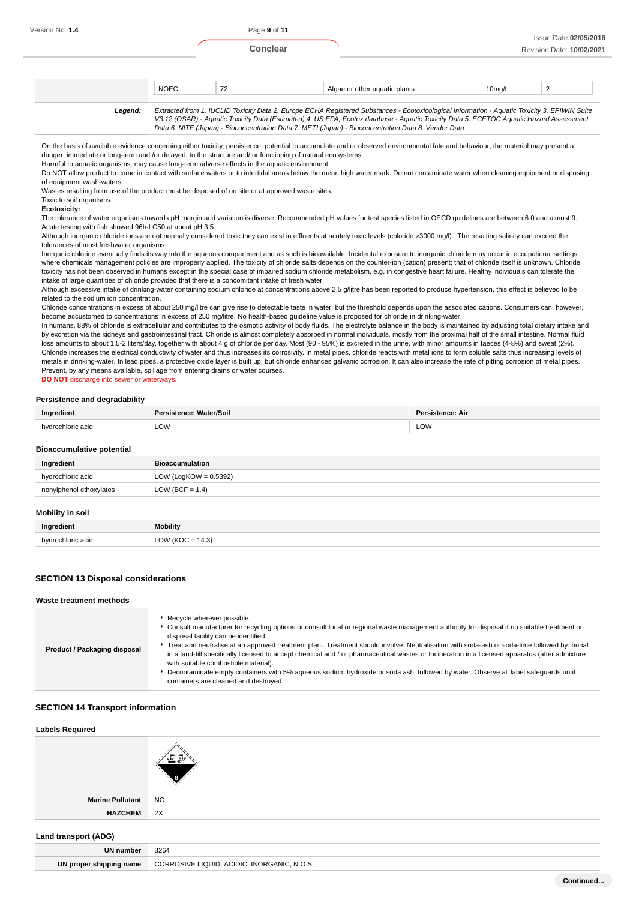# NOEC 72 Algae or other aquatic plants 10mg/L 2 **Legend:** Extracted from 1. IUCLID Toxicity Data 2. Europe ECHA Registered Substances - Ecotoxicological Information - Aquatic Toxicity 3. EPIWIN Suite V3.12 (QSAR) - Aquatic Toxicity Data (Estimated) 4. US EPA, Ecotox database - Aquatic Toxicity Data 5. ECETOC Aquatic Hazard Assessment

On the basis of available evidence concerning either toxicity, persistence, potential to accumulate and or observed environmental fate and behaviour, the material may present a danger, immediate or long-term and /or delayed, to the structure and/ or functioning of natural ecosystems.

Data 6. NITE (Japan) - Bioconcentration Data 7. METI (Japan) - Bioconcentration Data 8. Vendor Data

Harmful to aquatic organisms, may cause long-term adverse effects in the aquatic environment.

Do NOT allow product to come in contact with surface waters or to intertidal areas below the mean high water mark. Do not contaminate water when cleaning equipment or disposing of equipment wash-waters.

Wastes resulting from use of the product must be disposed of on site or at approved waste sites.

Toxic to soil organisms.

**Ecotoxicity:**

The tolerance of water organisms towards pH margin and variation is diverse. Recommended pH values for test species listed in OECD guidelines are between 6.0 and almost 9. Acute testing with fish showed 96h-LC50 at about pH 3.5

Although inorganic chloride ions are not normally considered toxic they can exist in effluents at acutely toxic levels (chloride >3000 mg/l). The resulting salinity can exceed the tolerances of most freshwater organisms.

Inorganic chlorine eventually finds its way into the aqueous compartment and as such is bioavailable. Incidental exposure to inorganic chloride may occur in occupational settings where chemicals management policies are improperly applied. The toxicity of chloride salts depends on the counter-ion (cation) present; that of chloride itself is unknown. Chloride toxicity has not been observed in humans except in the special case of impaired sodium chloride metabolism, e.g. in congestive heart failure. Healthy individuals can tolerate the intake of large quantities of chloride provided that there is a concomitant intake of fresh water.

Although excessive intake of drinking-water containing sodium chloride at concentrations above 2.5 g/litre has been reported to produce hypertension, this effect is believed to be related to the sodium ion concentration.

Chloride concentrations in excess of about 250 mg/litre can give rise to detectable taste in water, but the threshold depends upon the associated cations. Consumers can, however, become accustomed to concentrations in excess of 250 mg/litre. No health-based guideline value is proposed for chloride in drinking-water.

In humans, 88% of chloride is extracellular and contributes to the osmotic activity of body fluids. The electrolyte balance in the body is maintained by adjusting total dietary intake and by excretion via the kidneys and gastrointestinal tract. Chloride is almost completely absorbed in normal individuals, mostly from the proximal half of the small intestine. Normal fluid loss amounts to about 1.5-2 liters/day, together with about 4 g of chloride per day. Most (90 - 95%) is excreted in the urine, with minor amounts in faeces (4-8%) and sweat (2%). Chloride increases the electrical conductivity of water and thus increases its corrosivity. In metal pipes, chloride reacts with metal ions to form soluble salts thus increasing levels of metals in drinking-water. In lead pipes, a protective oxide layer is built up, but chloride enhances galvanic corrosion. It can also increase the rate of pitting corrosion of metal pipes. Prevent, by any means available, spillage from entering drains or water courses.

**DO NOT** discharge into sewer or waterways.

#### **Persistence and degradability**

|   | ווה | Air |
|---|-----|-----|
| . | LOW | LOW |

#### **Bioaccumulative potential**

| <b>DIVACCUTTURE DUCTION</b> |                          |
|-----------------------------|--------------------------|
| Ingredient                  | <b>Bioaccumulation</b>   |
| hydrochloric acid           | LOW (LogKOW = $0.5392$ ) |
| nonylphenol ethoxylates     | LOW (BCF = $1.4$ )       |
| Mobility in soil            |                          |

| Ingredient      | <b>Mobility</b> |
|-----------------|-----------------|
| hudr.<br>hinric | Ŵ               |

## **SECTION 13 Disposal considerations**

#### **Waste treatment methods Product / Packaging disposal** Recycle wherever possible. Consult manufacturer for recycling options or consult local or regional waste management authority for disposal if no suitable treatment or disposal facility can be identified. ▶ Treat and neutralise at an approved treatment plant. Treatment should involve: Neutralisation with soda-ash or soda-lime followed by: burial in a land-fill specifically licensed to accept chemical and / or pharmaceutical wastes or Incineration in a licensed apparatus (after admixture with suitable combustible material). Decontaminate empty containers with 5% aqueous sodium hydroxide or soda ash, followed by water. Observe all label safeguards until containers are cleaned and destroyed.

# **SECTION 14 Transport information**

| <b>Labels Required</b>      |           |
|-----------------------------|-----------|
| <b>Marine Pollutant</b>     | <b>NO</b> |
| <b>HAZCHEM</b>              | 2X        |
| <b>Land transport (ADG)</b> |           |

| <b>UN number</b>             | 3264                                                                          |
|------------------------------|-------------------------------------------------------------------------------|
| UN<br>I proper shipping name | ACIDIC<br>1011/E<br>IOLIIE<br>:ANIC<br><b>INIODC</b><br>CORR<br>N.O.S.<br>___ |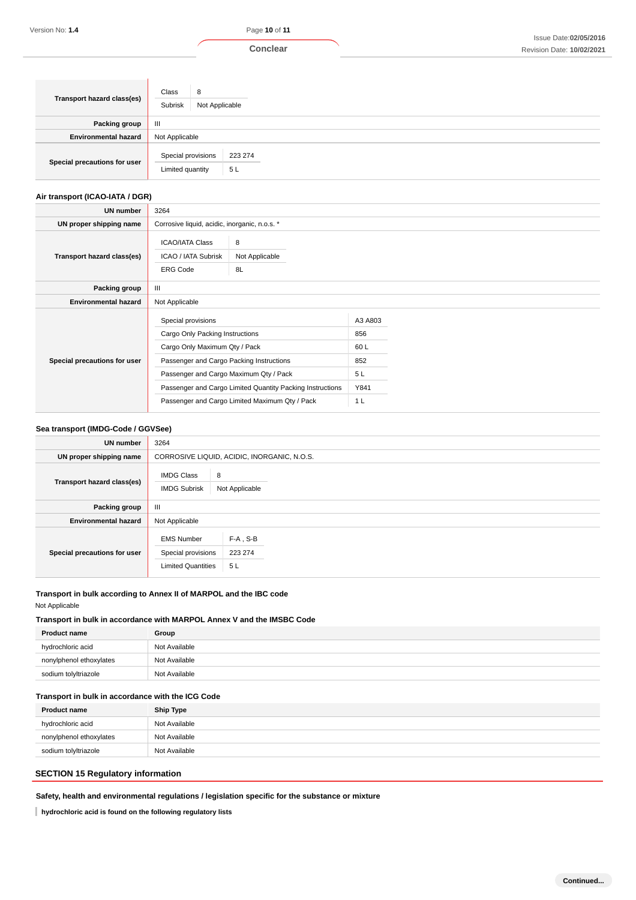| Transport hazard class(es)   | Class<br>8<br>Subrisk<br>Not Applicable                 |  |  |
|------------------------------|---------------------------------------------------------|--|--|
| Packing group                | $\mathbf{III}$                                          |  |  |
| <b>Environmental hazard</b>  | Not Applicable                                          |  |  |
| Special precautions for user | Special provisions<br>223 274<br>5L<br>Limited quantity |  |  |

# **Air transport (ICAO-IATA / DGR)**

| UN number                    | 3264                                                                                                                                                                         |                                                                                                             |                                                              |  |  |
|------------------------------|------------------------------------------------------------------------------------------------------------------------------------------------------------------------------|-------------------------------------------------------------------------------------------------------------|--------------------------------------------------------------|--|--|
| UN proper shipping name      |                                                                                                                                                                              | Corrosive liquid, acidic, inorganic, n.o.s. *                                                               |                                                              |  |  |
| Transport hazard class(es)   | <b>ICAO/IATA Class</b><br>ICAO / IATA Subrisk<br><b>ERG Code</b>                                                                                                             | 8<br>Not Applicable<br>8L                                                                                   |                                                              |  |  |
| Packing group                | $\mathbf{III}$                                                                                                                                                               |                                                                                                             |                                                              |  |  |
| <b>Environmental hazard</b>  | Not Applicable                                                                                                                                                               |                                                                                                             |                                                              |  |  |
| Special precautions for user | Special provisions<br>Cargo Only Packing Instructions<br>Cargo Only Maximum Qty / Pack<br>Passenger and Cargo Packing Instructions<br>Passenger and Cargo Maximum Qty / Pack | Passenger and Cargo Limited Quantity Packing Instructions<br>Passenger and Cargo Limited Maximum Qty / Pack | A3 A803<br>856<br>60L<br>852<br>5L<br>Y841<br>1 <sub>L</sub> |  |  |

#### **Sea transport (IMDG-Code / GGVSee)**

| <b>UN number</b>             | 3264                                                                 |                                             |  |  |  |
|------------------------------|----------------------------------------------------------------------|---------------------------------------------|--|--|--|
| UN proper shipping name      |                                                                      | CORROSIVE LIQUID, ACIDIC, INORGANIC, N.O.S. |  |  |  |
| Transport hazard class(es)   | <b>IMDG Class</b><br><b>IMDG Subrisk</b>                             | 8<br>Not Applicable                         |  |  |  |
| Packing group                | $\mathbf{III}$                                                       |                                             |  |  |  |
| <b>Environmental hazard</b>  | Not Applicable                                                       |                                             |  |  |  |
| Special precautions for user | <b>EMS Number</b><br>Special provisions<br><b>Limited Quantities</b> | $F-A$ , S-B<br>223 274<br>5L                |  |  |  |

# **Transport in bulk according to Annex II of MARPOL and the IBC code**

Not Applicable

# **Transport in bulk in accordance with MARPOL Annex V and the IMSBC Code**

| <b>Product name</b>     | Group         |
|-------------------------|---------------|
| hydrochloric acid       | Not Available |
| nonylphenol ethoxylates | Not Available |
| sodium tolyltriazole    | Not Available |

# **Transport in bulk in accordance with the ICG Code**

| <b>Ship Type</b> |
|------------------|
| Not Available    |
| Not Available    |
| Not Available    |
|                  |

# **SECTION 15 Regulatory information**

**Safety, health and environmental regulations / legislation specific for the substance or mixture**

**hydrochloric acid is found on the following regulatory lists**